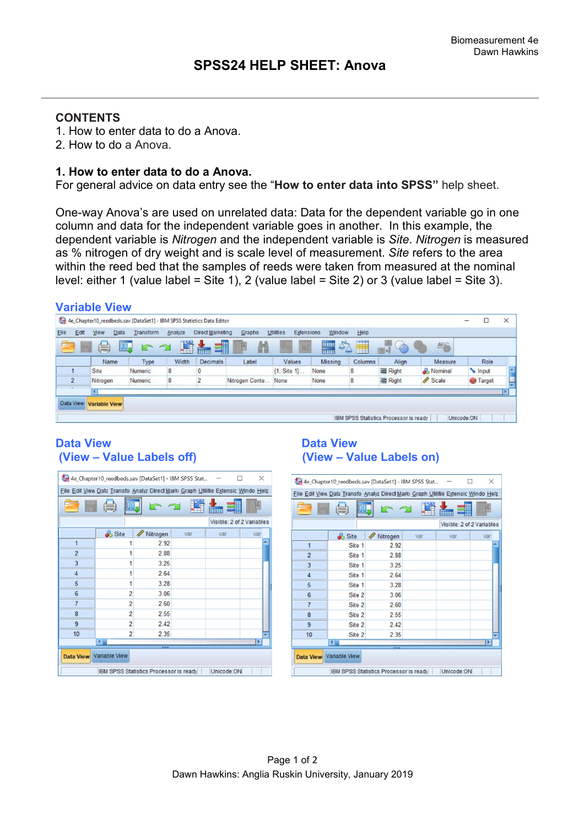## **CONTENTS**

- 1. How to enter data to do a Anova.
- 2. How to do a Anova.

#### **1. How to enter data to do a Anova.**

For general advice on data entry see the "**How to enter data into SPSS"** help sheet.

One-way Anova's are used on unrelated data: Data for the dependent variable go in one column and data for the independent variable goes in another. In this example, the dependent variable is *Nitrogen* and the independent variable is *Site*. *Nitrogen* is measured as % nitrogen of dry weight and is scale level of measurement. *Site* refers to the area within the reed bed that the samples of reeds were taken from measured at the nominal level: either 1 (value label = Site 1), 2 (value label = Site 2) or 3 (value label = Site 3).

|                | <b>Variable View</b>                                                   |                |         |                  |                 |                         |                           |         |                                               |         |                 |            |
|----------------|------------------------------------------------------------------------|----------------|---------|------------------|-----------------|-------------------------|---------------------------|---------|-----------------------------------------------|---------|-----------------|------------|
|                | 4e_Chapter10_reedbeds.sav [DataSet1] - IBM SPSS Statistics Data Editor |                |         |                  |                 |                         |                           |         |                                               |         | □               | ×          |
| Elle<br>Edit   | Data<br>View                                                           | Transform      | Analyze | Direct Marketing | Graphs          | Utilities<br>Extensions | Window                    | Help    |                                               |         |                 |            |
|                | 暠<br>н                                                                 | II.<br>r 2     | 圍       | 当                | 顔               |                         | $\Delta$<br><b>Allian</b> | H       | $\frac{1}{2}$                                 | ABG     |                 |            |
|                | Name                                                                   | Type           | Width   | Decimals         | Label           | Values                  | Missing                   | Columns | Align                                         | Measure | Role            |            |
|                | Site                                                                   | <b>Numeric</b> | 8       |                  |                 | {1, Site 1}             | None                      | 8       | 三 Right                                       | Nominal | Input           | $\Delta L$ |
| $\overline{2}$ | Nitrogen                                                               | Numeric        | 8       |                  | Nitrogen Conte. | None                    | None                      | 8       | 三 Right                                       | Scale   | <b>O</b> Target | ₩          |
|                |                                                                        |                |         |                  |                 |                         |                           |         |                                               |         |                 |            |
| Data View      | <b>Variable View</b>                                                   |                |         |                  |                 |                         |                           |         |                                               |         |                 |            |
|                |                                                                        |                |         |                  |                 |                         |                           |         |                                               |         |                 |            |
|                |                                                                        |                |         |                  |                 |                         |                           |         | <b>IBM SPSS Statistics Processor is ready</b> |         | Unicode ON      |            |

## Data View<br>
(View – Value Labels off) **Data View**<br>
(View – Value Labels off) **(View – Value Labels off) (View – Value Labels on)**

|                | 4e_Chapter10_reedbeds.sav [DataSet1] - IBM SPSS Stat                              |                                        |     |            | $\times$                  |
|----------------|-----------------------------------------------------------------------------------|----------------------------------------|-----|------------|---------------------------|
|                | File Edil View Data Transfo Analyz Direct Mark Graph Utilitie Extensic Windo Help |                                        |     |            |                           |
|                |                                                                                   |                                        |     |            |                           |
|                |                                                                                   |                                        |     |            | Visible: 2 of 2 Variables |
|                | Site                                                                              | Í<br>Nitrogen                          | var | var        | var                       |
| $\overline{1}$ |                                                                                   | 2.92                                   |     |            |                           |
| $\overline{2}$ |                                                                                   | 2.88                                   |     |            |                           |
| 3              |                                                                                   | 3.25                                   |     |            |                           |
| $\overline{4}$ | 1                                                                                 | 2.64                                   |     |            |                           |
| 5              | 1                                                                                 | 3.28                                   |     |            |                           |
| $6\phantom{1}$ | $\overline{2}$                                                                    | 3.06                                   |     |            |                           |
| $\overline{7}$ | $\overline{2}$                                                                    | 2.60                                   |     |            |                           |
| 8              | $\overline{2}$                                                                    | 2.55                                   |     |            |                           |
| 9              | $\overline{2}$                                                                    | 2.42                                   |     |            |                           |
| 10             | $\overline{2}$                                                                    | 2.35                                   |     |            |                           |
|                | $\overline{4}$                                                                    |                                        |     |            | ٠                         |
|                | Data View Variable View                                                           |                                        |     |            |                           |
|                |                                                                                   | IBM SPSS Statistics Processor is ready |     | Unicode:ON |                           |

|                 | 4e Chapter10_reedbeds.sav [DataSet1] - IBM SPSS Stat                              |                                        |     |                           | X   |
|-----------------|-----------------------------------------------------------------------------------|----------------------------------------|-----|---------------------------|-----|
|                 | File Edil View Data Transfo Analyz Direct Mark Graph Utilitie Extensic Windo Help |                                        |     |                           |     |
|                 |                                                                                   |                                        |     |                           |     |
|                 |                                                                                   |                                        |     | Visible: 2 of 2 Variables |     |
|                 | Site                                                                              | Nitrogen<br>D                          | var | var                       | var |
| $\overline{1}$  | Site 1                                                                            | 2.92                                   |     |                           |     |
| $\overline{2}$  | Site 1                                                                            | 2.88                                   |     |                           |     |
| 3               | Site 1                                                                            | 3.25                                   |     |                           |     |
| $\overline{4}$  | Site 1                                                                            | 2.64                                   |     |                           |     |
| 5               | Site 1                                                                            | 3.28                                   |     |                           |     |
| $6\phantom{1}6$ | Site 2                                                                            | 3.06                                   |     |                           |     |
| $\overline{7}$  | Site 2                                                                            | 2.60                                   |     |                           |     |
| 8               | Site 2                                                                            | 2.55                                   |     |                           |     |
| $\overline{9}$  | Site 2                                                                            | 2.42                                   |     |                           |     |
| 10              | Site 2                                                                            | 2.35                                   |     |                           |     |
|                 | 4                                                                                 |                                        |     |                           | ٠   |
|                 | Data View Variable View                                                           |                                        |     |                           |     |
|                 |                                                                                   | IBM SPSS Statistics Processor is ready |     | Unicode:ON                |     |